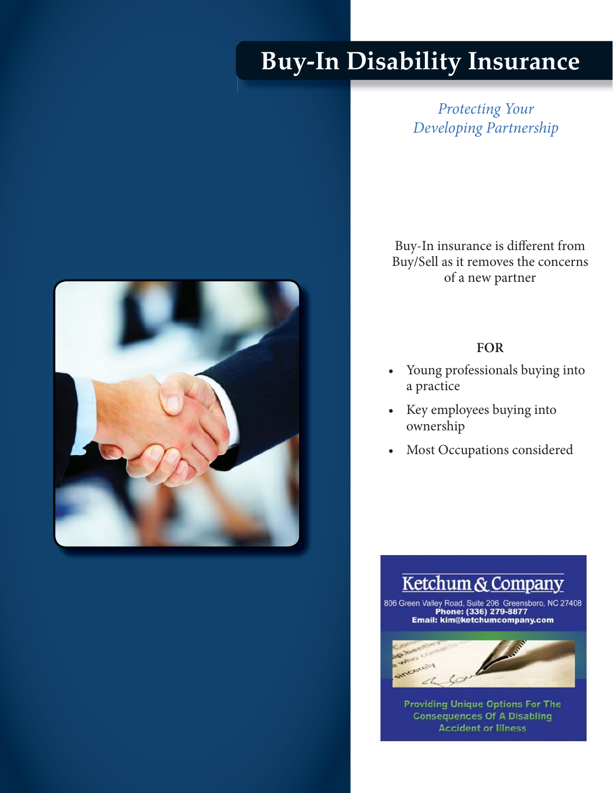# **Buy-In Disability Insurance**

*Protecting Your Developing Partnership*

Buy-In insurance is different from Buy/Sell as it removes the concerns of a new partner

#### **FOR**

- Young professionals buying into a practice
- Key employees buying into ownership
- Most Occupations considered

## Ketchum & Company

806 Green Valley Road, Suite 206 Greensboro, NC 27408 Email: kim@ketchumcompany.com



**Accident or Illness Providing Unique Options For The<br>Consequences Of A Disabling**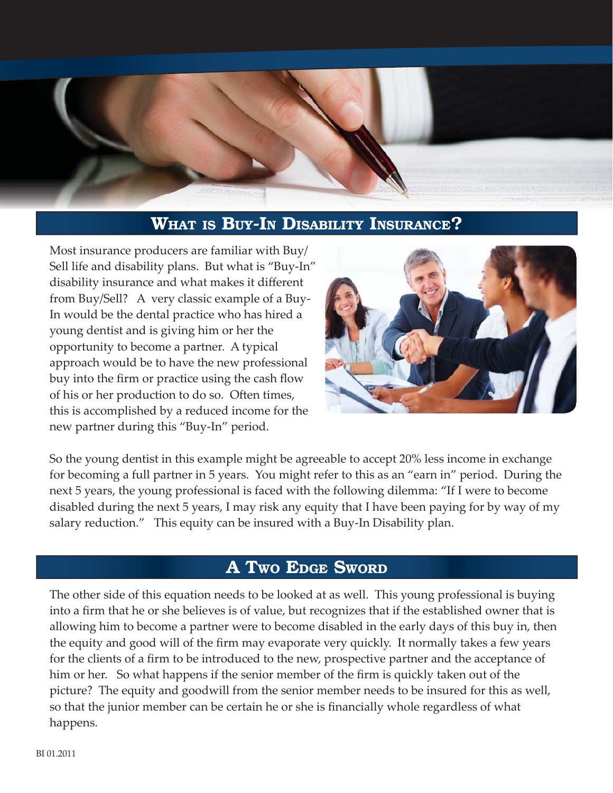

#### **WHAT IS BUY-IN DISABILITY INSURANCE?**

Most insurance producers are familiar with Buy/ Sell life and disability plans. But what is "Buy-In" disability insurance and what makes it different from Buy/Sell? A very classic example of a Buy-In would be the dental practice who has hired a young dentist and is giving him or her the opportunity to become a partner. A typical approach would be to have the new professional buy into the firm or practice using the cash flow of his or her production to do so. Often times, this is accomplished by a reduced income for the new partner during this "Buy-In" period.



So the young dentist in this example might be agreeable to accept 20% less income in exchange for becoming a full partner in 5 years. You might refer to this as an "earn in" period. During the next 5 years, the young professional is faced with the following dilemma: "If I were to become disabled during the next 5 years, I may risk any equity that I have been paying for by way of my salary reduction." This equity can be insured with a Buy-In Disability plan.

#### **A TWO EDGE SWORD**

The other side of this equation needs to be looked at as well. This young professional is buying into a firm that he or she believes is of value, but recognizes that if the established owner that is allowing him to become a partner were to become disabled in the early days of this buy in, then the equity and good will of the firm may evaporate very quickly. It normally takes a few years for the clients of a firm to be introduced to the new, prospective partner and the acceptance of him or her. So what happens if the senior member of the firm is quickly taken out of the picture? The equity and goodwill from the senior member needs to be insured for this as well, so that the junior member can be certain he or she is financially whole regardless of what happens.